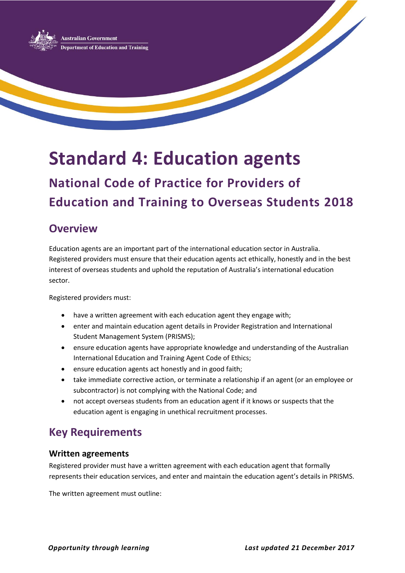

# **Standard 4: Education agents**

## **National Code of Practice for Providers of Education and Training to Overseas Students 2018**

## **Overview**

Education agents are an important part of the international education sector in Australia. Registered providers must ensure that their education agents act ethically, honestly and in the best interest of overseas students and uphold the reputation of Australia's international education sector.

Registered providers must:

- have a written agreement with each education agent they engage with;
- enter and maintain education agent details in Provider Registration and International Student Management System (PRISMS);
- ensure education agents have appropriate knowledge and understanding of the Australian International Education and Training Agent Code of Ethics;
- ensure education agents act honestly and in good faith;
- take immediate corrective action, or terminate a relationship if an agent (or an employee or subcontractor) is not complying with the National Code; and
- not accept overseas students from an education agent if it knows or suspects that the education agent is engaging in unethical recruitment processes.

## **Key Requirements**

#### **Written agreements**

Registered provider must have a written agreement with each education agent that formally represents their education services, and enter and maintain the education agent's details in PRISMS.

The written agreement must outline: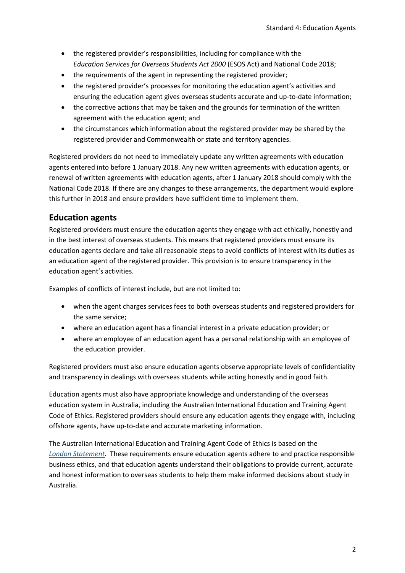- the registered provider's responsibilities, including for compliance with the *Education Services for Overseas Students Act 2000* (ESOS Act) and National Code 2018;
- the requirements of the agent in representing the registered provider;
- the registered provider's processes for monitoring the education agent's activities and ensuring the education agent gives overseas students accurate and up-to-date information;
- the corrective actions that may be taken and the grounds for termination of the written agreement with the education agent; and
- the circumstances which information about the registered provider may be shared by the registered provider and Commonwealth or state and territory agencies.

Registered providers do not need to immediately update any written agreements with education agents entered into before 1 January 2018. Any new written agreements with education agents, or renewal of written agreements with education agents, after 1 January 2018 should comply with the National Code 2018. If there are any changes to these arrangements, the department would explore this further in 2018 and ensure providers have sufficient time to implement them.

#### **Education agents**

Registered providers must ensure the education agents they engage with act ethically, honestly and in the best interest of overseas students. This means that registered providers must ensure its education agents declare and take all reasonable steps to avoid conflicts of interest with its duties as an education agent of the registered provider. This provision is to ensure transparency in the education agent's activities.

Examples of conflicts of interest include, but are not limited to:

- when the agent charges services fees to both overseas students and registered providers for the same service;
- where an education agent has a financial interest in a private education provider; or
- where an employee of an education agent has a personal relationship with an employee of the education provider.

Registered providers must also ensure education agents observe appropriate levels of confidentiality and transparency in dealings with overseas students while acting honestly and in good faith.

Education agents must also have appropriate knowledge and understanding of the overseas education system in Australia, including the Australian International Education and Training Agent Code of Ethics. Registered providers should ensure any education agents they engage with, including offshore agents, have up-to-date and accurate marketing information.

The Australian International Education and Training Agent Code of Ethics is based on the *[London Statement.](https://www.britishcouncil.org/sites/default/files/london_statement.pdf)* These requirements ensure education agents adhere to and practice responsible business ethics, and that education agents understand their obligations to provide current, accurate and honest information to overseas students to help them make informed decisions about study in Australia.